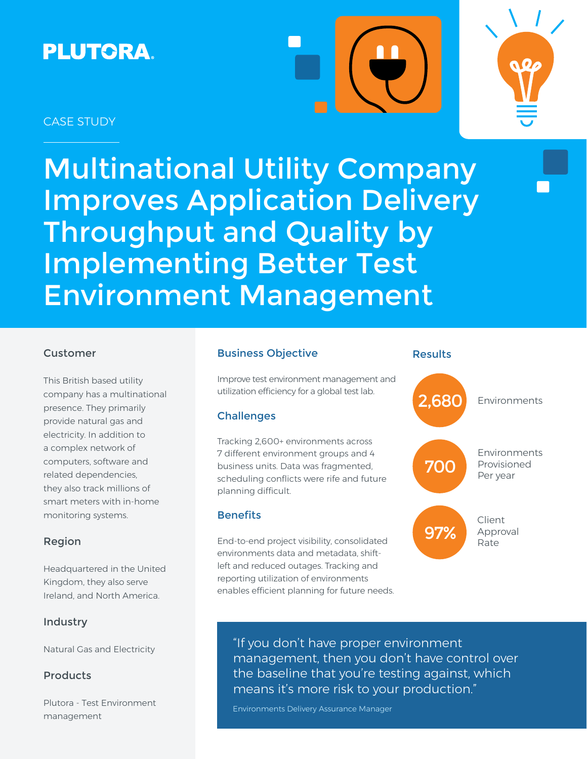# **PLUTORA.**





## CASE STUDY

Multinational Utility Company Improves Application Delivery Throughput and Quality by Implementing Better Test Environment Management

## Customer

This British based utility company has a multinational presence. They primarily provide natural gas and electricity. In addition to a complex network of computers, software and related dependencies, they also track millions of smart meters with in-home monitoring systems.

### Region

Headquartered in the United Kingdom, they also serve Ireland, and North America.

### Industry

Natural Gas and Electricity

### Products

Plutora - Test Environment management

## Business Objective

Improve test environment management and utilization efficiency for a global test lab.

## **Challenges**

Tracking 2,600+ environments across 7 different environment groups and 4 business units. Data was fragmented, scheduling conflicts were rife and future planning difficult.

### **Benefits**

End-to-end project visibility, consolidated environments data and metadata, shiftleft and reduced outages. Tracking and reporting utilization of environments enables efficient planning for future needs.

### Results



"If you don't have proper environment management, then you don't have control over the baseline that you're testing against, which means it's more risk to your production."

Environments Delivery Assurance Manager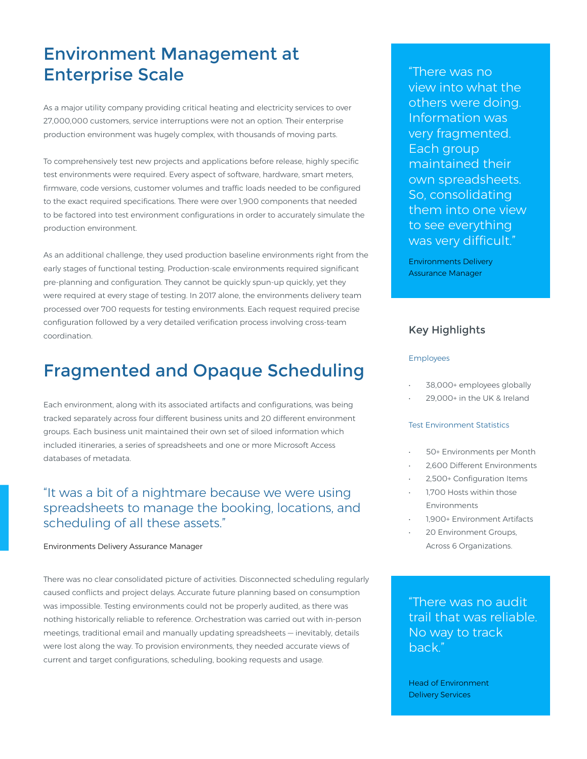# Environment Management at Enterprise Scale

As a major utility company providing critical heating and electricity services to over 27,000,000 customers, service interruptions were not an option. Their enterprise production environment was hugely complex, with thousands of moving parts.

To comprehensively test new projects and applications before release, highly specific test environments were required. Every aspect of software, hardware, smart meters, firmware, code versions, customer volumes and traffic loads needed to be configured to the exact required specifications. There were over 1,900 components that needed to be factored into test environment configurations in order to accurately simulate the production environment.

As an additional challenge, they used production baseline environments right from the early stages of functional testing. Production-scale environments required significant pre-planning and configuration. They cannot be quickly spun-up quickly, yet they were required at every stage of testing. In 2017 alone, the environments delivery team processed over 700 requests for testing environments. Each request required precise configuration followed by a very detailed verification process involving cross-team coordination.

# Fragmented and Opaque Scheduling

Each environment, along with its associated artifacts and configurations, was being tracked separately across four different business units and 20 different environment groups. Each business unit maintained their own set of siloed information which included itineraries, a series of spreadsheets and one or more Microsoft Access databases of metadata.

# "It was a bit of a nightmare because we were using spreadsheets to manage the booking, locations, and scheduling of all these assets."

### Environments Delivery Assurance Manager

There was no clear consolidated picture of activities. Disconnected scheduling regularly caused conflicts and project delays. Accurate future planning based on consumption was impossible. Testing environments could not be properly audited, as there was nothing historically reliable to reference. Orchestration was carried out with in-person meetings, traditional email and manually updating spreadsheets — inevitably, details were lost along the way. To provision environments, they needed accurate views of current and target configurations, scheduling, booking requests and usage.

"There was no view into what the others were doing. Information was very fragmented. Each group maintained their own spreadsheets. So, consolidating them into one view to see everything was very difficult."

Environments Delivery Assurance Manager

### Key Highlights

#### Employees

- 38,000+ employees globally
- 29,000+ in the UK & Ireland

### Test Environment Statistics

- 50+ Environments per Month
- 2,600 Different Environments
- 2,500+ Configuration Items
- 1,700 Hosts within those Environments
- 1,900+ Environment Artifacts
- 20 Environment Groups, Across 6 Organizations.

"There was no audit trail that was reliable. No way to track back."

Head of Environment Delivery Services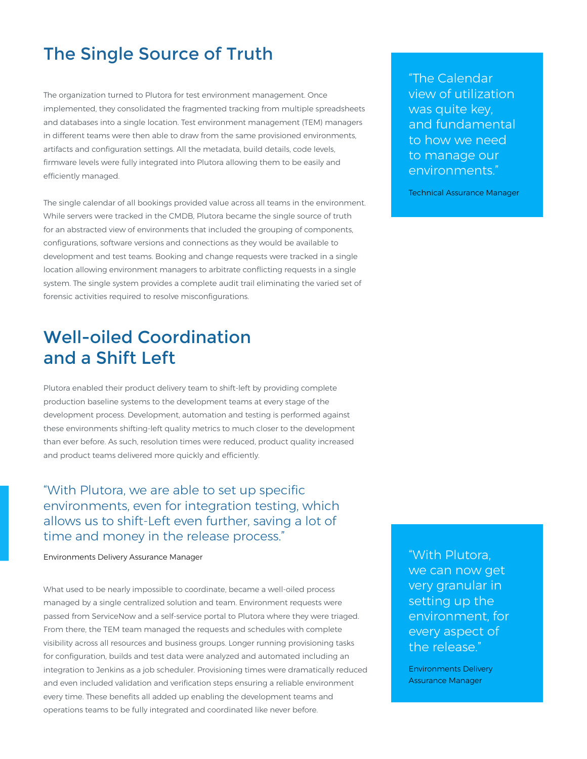# The Single Source of Truth

The organization turned to Plutora for test environment management. Once implemented, they consolidated the fragmented tracking from multiple spreadsheets and databases into a single location. Test environment management (TEM) managers in different teams were then able to draw from the same provisioned environments, artifacts and configuration settings. All the metadata, build details, code levels, firmware levels were fully integrated into Plutora allowing them to be easily and efficiently managed.

The single calendar of all bookings provided value across all teams in the environment. While servers were tracked in the CMDB, Plutora became the single source of truth for an abstracted view of environments that included the grouping of components, configurations, software versions and connections as they would be available to development and test teams. Booking and change requests were tracked in a single location allowing environment managers to arbitrate conflicting requests in a single system. The single system provides a complete audit trail eliminating the varied set of forensic activities required to resolve misconfigurations.

# Well-oiled Coordination and a Shift Left

Plutora enabled their product delivery team to shift-left by providing complete production baseline systems to the development teams at every stage of the development process. Development, automation and testing is performed against these environments shifting-left quality metrics to much closer to the development than ever before. As such, resolution times were reduced, product quality increased and product teams delivered more quickly and efficiently.

"With Plutora, we are able to set up specific environments, even for integration testing, which allows us to shift-Left even further, saving a lot of time and money in the release process."

Environments Delivery Assurance Manager

What used to be nearly impossible to coordinate, became a well-oiled process managed by a single centralized solution and team. Environment requests were passed from ServiceNow and a self-service portal to Plutora where they were triaged. From there, the TEM team managed the requests and schedules with complete visibility across all resources and business groups. Longer running provisioning tasks for configuration, builds and test data were analyzed and automated including an integration to Jenkins as a job scheduler. Provisioning times were dramatically reduced and even included validation and verification steps ensuring a reliable environment every time. These benefits all added up enabling the development teams and operations teams to be fully integrated and coordinated like never before.

"With Plutora, we can now get very granular in setting up the environment, for every aspect of the release."

Environments Delivery Assurance Manager

"The Calendar view of utilization was quite key, and fundamental to how we need to manage our environments."

Technical Assurance Manager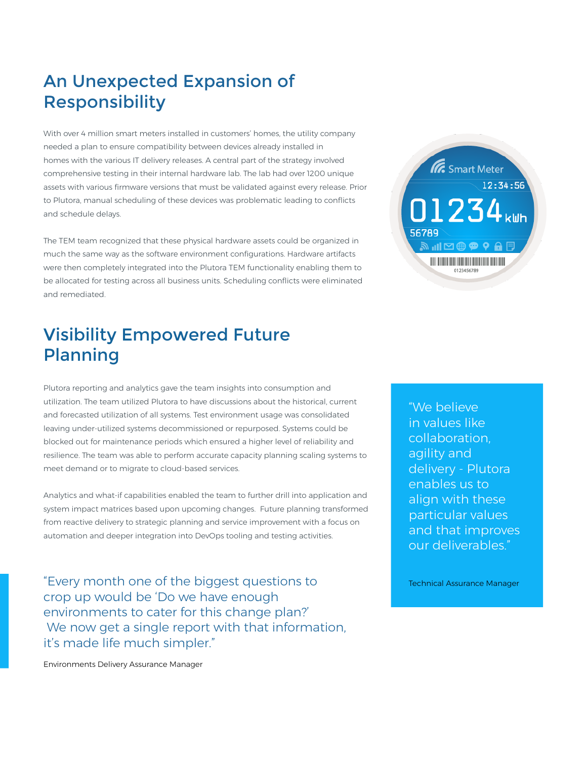# An Unexpected Expansion of Responsibility

With over 4 million smart meters installed in customers' homes, the utility company needed a plan to ensure compatibility between devices already installed in homes with the various IT delivery releases. A central part of the strategy involved comprehensive testing in their internal hardware lab. The lab had over 1200 unique assets with various firmware versions that must be validated against every release. Prior to Plutora, manual scheduling of these devices was problematic leading to conflicts and schedule delays.

The TEM team recognized that these physical hardware assets could be organized in much the same way as the software environment configurations. Hardware artifacts were then completely integrated into the Plutora TEM functionality enabling them to be allocated for testing across all business units. Scheduling conflicts were eliminated and remediated.

# Visibility Empowered Future Planning



Plutora reporting and analytics gave the team insights into consumption and utilization. The team utilized Plutora to have discussions about the historical, current and forecasted utilization of all systems. Test environment usage was consolidated leaving under-utilized systems decommissioned or repurposed. Systems could be blocked out for maintenance periods which ensured a higher level of reliability and resilience. The team was able to perform accurate capacity planning scaling systems to meet demand or to migrate to cloud-based services.

Analytics and what-if capabilities enabled the team to further drill into application and system impact matrices based upon upcoming changes. Future planning transformed from reactive delivery to strategic planning and service improvement with a focus on automation and deeper integration into DevOps tooling and testing activities.

"Every month one of the biggest questions to crop up would be 'Do we have enough environments to cater for this change plan?' We now get a single report with that information, it's made life much simpler."

"We believe in values like collaboration, agility and delivery - Plutora enables us to align with these particular values and that improves our deliverables."

Technical Assurance Manager

Environments Delivery Assurance Manager